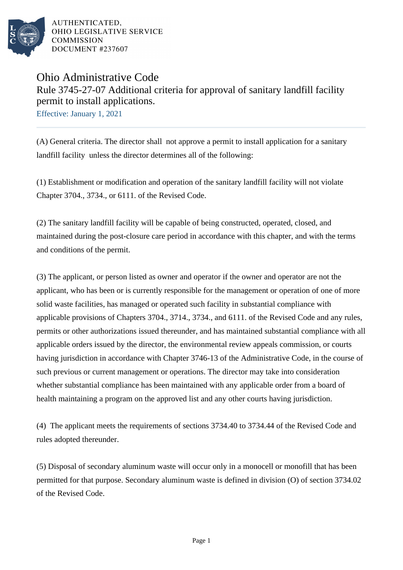

# Ohio Administrative Code Rule 3745-27-07 Additional criteria for approval of sanitary landfill facility permit to install applications.

Effective: January 1, 2021

(A) General criteria. The director shall not approve a permit to install application for a sanitary landfill facility unless the director determines all of the following:

(1) Establishment or modification and operation of the sanitary landfill facility will not violate Chapter 3704., 3734., or 6111. of the Revised Code.

(2) The sanitary landfill facility will be capable of being constructed, operated, closed, and maintained during the post-closure care period in accordance with this chapter, and with the terms and conditions of the permit.

(3) The applicant, or person listed as owner and operator if the owner and operator are not the applicant, who has been or is currently responsible for the management or operation of one of more solid waste facilities, has managed or operated such facility in substantial compliance with applicable provisions of Chapters 3704., 3714., 3734., and 6111. of the Revised Code and any rules, permits or other authorizations issued thereunder, and has maintained substantial compliance with all applicable orders issued by the director, the environmental review appeals commission, or courts having jurisdiction in accordance with Chapter 3746-13 of the Administrative Code, in the course of such previous or current management or operations. The director may take into consideration whether substantial compliance has been maintained with any applicable order from a board of health maintaining a program on the approved list and any other courts having jurisdiction.

(4) The applicant meets the requirements of sections 3734.40 to 3734.44 of the Revised Code and rules adopted thereunder.

(5) Disposal of secondary aluminum waste will occur only in a monocell or monofill that has been permitted for that purpose. Secondary aluminum waste is defined in division (O) of section 3734.02 of the Revised Code.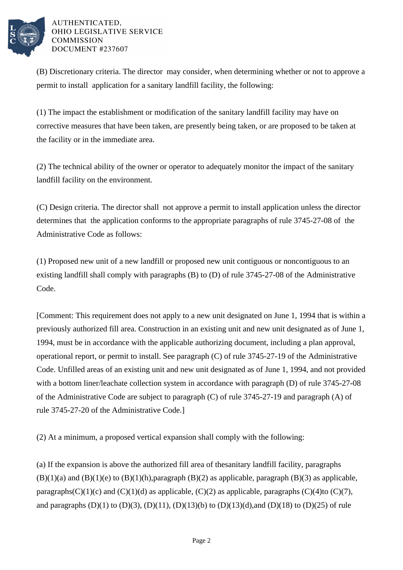

(B) Discretionary criteria. The director may consider, when determining whether or not to approve a permit to install application for a sanitary landfill facility, the following:

(1) The impact the establishment or modification of the sanitary landfill facility may have on corrective measures that have been taken, are presently being taken, or are proposed to be taken at the facility or in the immediate area.

(2) The technical ability of the owner or operator to adequately monitor the impact of the sanitary landfill facility on the environment.

(C) Design criteria. The director shall not approve a permit to install application unless the director determines that the application conforms to the appropriate paragraphs of rule 3745-27-08 of the Administrative Code as follows:

(1) Proposed new unit of a new landfill or proposed new unit contiguous or noncontiguous to an existing landfill shall comply with paragraphs (B) to (D) of rule  $3745-27-08$  of the Administrative Code.

[Comment: This requirement does not apply to a new unit designated on June 1, 1994 that is within a previously authorized fill area. Construction in an existing unit and new unit designated as of June 1, 1994, must be in accordance with the applicable authorizing document, including a plan approval, operational report, or permit to install. See paragraph  $(C)$  of rule 3745-27-19 of the Administrative Code. Unfilled areas of an existing unit and new unit designated as of June 1, 1994, and not provided with a bottom liner/leachate collection system in accordance with paragraph (D) of rule  $3745-27-08$ of the Administrative Code are subject to paragraph  $(C)$  of rule 3745-27-19 and paragraph  $(A)$  of rule 3745-27-20 of the Administrative Code.

(2) At a minimum, a proposed vertical expansion shall comply with the following:

(a) If the expansion is above the authorized fill area of the sanitary landfill facility, paragraphs  $(B)(1)(a)$  and  $(B)(1)(e)$  to  $(B)(1)(h)$ , paragraph  $(B)(2)$  as applicable, paragraph  $(B)(3)$  as applicable, paragraphs  $(C)(1)(c)$  and  $(C)(1)(d)$  as applicable,  $(C)(2)$  as applicable, paragraphs  $(C)(4)$  to  $(C)(7)$ , and paragraphs (D)(1) to (D)(3), (D)(11), (D)(13)(b) to (D)(13)(d), and (D)(18) to (D)(25) of rule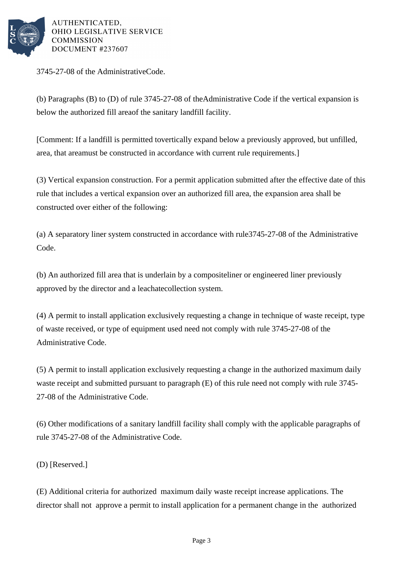

3745-27-08 of the Administrative Code.

(b) Paragraphs (B) to (D) of rule  $3745-27-08$  of the Administrative Code if the vertical expansion is below the authorized fill area of the sanitary landfill facility.

[Comment: If a landfill is permitted to vertically expand below a previously approved, but unfilled, area, that area must be constructed in accordance with current rule requirements.

(3) Vertical expansion construction. For a permit application submitted after the effective date of this rule that includes a vertical expansion over an authorized fill area, the expansion area shall be constructed over either of the following:

(a) A separatory liner system constructed in accordance with rule 3745-27-08 of the Administrative Code.

(b) An authorized fill area that is underlain by a composite liner or engineered liner previously approved by the director and a leachate collection system.

(4) A permit to install application exclusively requesting a change in technique of waste receipt, type of waste received, or type of equipment used need not comply with rule 3745-27-08 of the Administrative Code.

(5) A permit to install application exclusively requesting a change in the authorized maximum daily waste receipt and submitted pursuant to paragraph (E) of this rule need not comply with rule 3745-27-08 of the Administrative Code.

(6) Other modifications of a sanitary landfill facility shall comply with the applicable paragraphs of rule 3745-27-08 of the Administrative Code.

(D) [Reserved.]

(E) Additional criteria for authorized maximum daily waste receipt increase applications. The director shall not approve a permit to install application for a permanent change in the authorized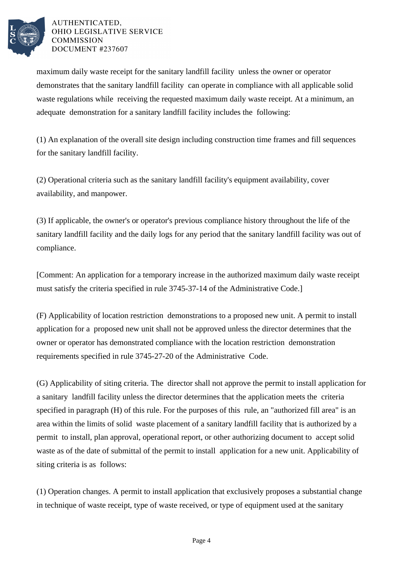

maximum daily waste receipt for the sanitary landfill facility unless the owner or operator demonstrates that the sanitary landfill facility can operate in compliance with all applicable solid waste regulations while receiving the requested maximum daily waste receipt. At a minimum, an adequate demonstration for a sanitary landfill facility includes the following:

(1) An explanation of the overall site design including construction time frames and fill sequences for the sanitary landfill facility.

(2) Operational criteria such as the sanitary landfill facility's equipment availability, cover availability, and manpower.

(3) If applicable, the owner's or operator's previous compliance history throughout the life of the sanitary landfill facility and the daily logs for any period that the sanitary landfill facility was out of compliance.

[Comment: An application for a temporary increase in the authorized maximum daily waste receipt must satisfy the criteria specified in rule 3745-37-14 of the Administrative Code.

(F) Applicability of location restriction demonstrations to a proposed new unit. A permit to install application for a proposed new unit shall not be approved unless the director determines that the owner or operator has demonstrated compliance with the location restriction demonstration requirements specified in rule 3745-27-20 of the Administrative Code.

(G) Applicability of siting criteria. The director shall not approve the permit to install application for a sanitary landfill facility unless the director determines that the application meets the criteria specified in paragraph (H) of this rule. For the purposes of this rule, an "authorized fill area" is an area within the limits of solid waste placement of a sanitary landfill facility that is authorized by a permit to install, plan approval, operational report, or other authorizing document to accept solid waste as of the date of submittal of the permit to install application for a new unit. Applicability of siting criteria is as follows:

(1) Operation changes. A permit to install application that exclusively proposes a substantial change in technique of waste receipt, type of waste received, or type of equipment used at the sanitary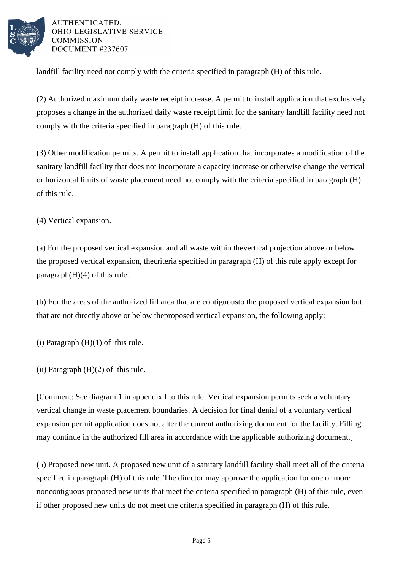

landfill facility need not comply with the criteria specified in  $\beta$  paragraph (H) of this rule.

(2) Authorized maximum daily waste receipt increase. A permit to install application that exclusively proposes a change in the authorized daily waste receipt limit for the sanitary landfill facility need not comply with the criteria specified in paragraph  $(H)$  of this rule.

(3) Other modification permits. A permit to install application that incorporates a modification of the sanitary landfill facility that does not incorporate a capacity increase or otherwise change the vertical or horizontal limits of waste placement need not comply with the criteria specified in paragraph (H) of this rule.

(4) Vertical expansion.

(a) For the proposed vertical expansion and all waste within the vertical projection above or below the proposed vertical expansion, the criteria specified in paragraph (H) of this rule apply except for paragraph  $(H)(4)$  of this rule.

(b) For the areas of the authorized fill area that are contiguous to the proposed vertical expansion but that are not directly above or below the proposed vertical expansion, the following apply:

(i) Paragraph  $(H)(1)$  of this rule.

(ii) Paragraph  $(H)(2)$  of this rule.

[Comment: See diagram 1 in appendix I to this rule. Vertical expansion permits seek a voluntary vertical change in waste placement boundaries. A decision for final denial of a voluntary vertical expansion permit application does not alter the current authorizing document for the facility. Filling may continue in the authorized fill area in accordance with the applicable authorizing document.]

(5) Proposed new unit. A proposed new unit of a sanitary landfill facility shall meet all of the criteria specified in paragraph (H) of this rule. The director may approve the application for one or more noncontiguous proposed new units that meet the criteria specified in paragraph (H) of this rule, even if other proposed new units do not meet the criteria specified in paragraph (H) of this rule.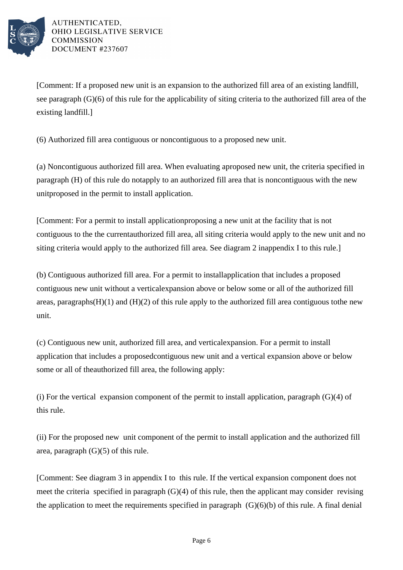

[Comment: If a proposed new unit is an expansion to the authorized fill area of an existing landfill, see paragraph  $(G)(6)$  of this rule for the applicability of siting criteria to the authorized fill area of the existing landfill.]

(6) Authorized fill area contiguous or noncontiguous to a proposed new unit.

(a) Noncontiguous authorized fill area. When evaluating a proposed new unit, the criteria specified in paragraph (H) of this rule do not apply to an authorized fill area that is noncontiguous with the new unit proposed in the permit to install application.

[Comment: For a permit to install application proposing a new unit at the facility that is not contiguous to the the current authorized fill area, all siting criteria would apply to the new unit and no siting criteria would apply to the authorized fill area. See diagram 2 in appendix I to this rule.]

(b) Contiguous authorized fill area. For a permit to install application that includes a proposed contiguous new unit without a vertical expansion above or below some or all of the authorized fill areas, paragraphs  $(H)(1)$  and  $(H)(2)$  of this rule apply to the authorized fill area contiguous to the new unit.

(c) Contiguous new unit, authorized fill area, and vertical expansion. For a permit to install application that includes a proposed contiguous new unit and a vertical expansion above or below some or all of the authorized fill area, the following apply:

(i) For the vertical expansion component of the permit to install application, paragraph  $(G)(4)$  of this rule.

(ii) For the proposed new unit component of the permit to install application and the authorized fill area, paragraph  $(G)(5)$  of this rule.

[Comment: See diagram 3 in appendix I to this rule. If the vertical expansion component does not meet the criteria specified in paragraph  $(G)(4)$  of this rule, then the applicant may consider revising the application to meet the requirements specified in paragraph  $(G)(6)(b)$  of this rule. A final denial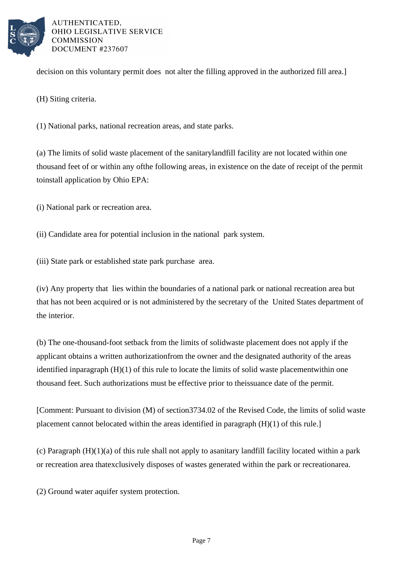

decision on this voluntary permit does not alter the filling approved in the authorized fill area.]

(H) Siting criteria.

(1) National parks, national recreation areas, and state parks.

(a) The limits of solid waste placement of the sanitary landfill facility are not located within one thousand feet of or within any of the following areas, in existence on the date of receipt of the permit to install application by Ohio EPA:

(i) National park or recreation area.

(ii) Candidate area for potential inclusion in the national park system.

(iii) State park or established state park purchase area.

(iv) Any property that lies within the boundaries of a national park or national recreation area but that has not been acquired or is not administered by the secretary of the United States department of the interior.

(b) The one-thousand-foot setback from the limits of solid waste placement does not apply if the applicant obtains a written authorization from the owner and the designated authority of the areas identified in paragraph  $(H)(1)$  of this rule to locate the limits of solid waste placement within one thousand feet. Such authorizations must be effective prior to the issuance date of the permit.

[Comment: Pursuant to division (M) of section 3734.02 of the Revised Code, the limits of solid waste placement cannot be located within the areas identified in paragraph  $(H)(1)$  of this rule.]

(c) Paragraph  $(H)(1)(a)$  of this rule shall not apply to a sanitary landfill facility located within a park or recreation area that exclusively disposes of wastes generated within the park or recreation area.

(2) Ground water aquifer system protection.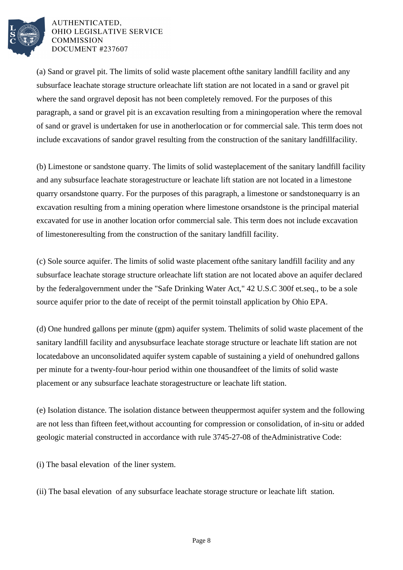

(a) Sand or gravel pit. The limits of solid waste placement of the sanitary landfill facility and any subsurface leachate storage structure or leachate lift station are not located in a sand or gravel pit where the sand or gravel deposit has not been completely removed. For the purposes of this paragraph, a sand or gravel pit is an excavation resulting from a mining operation where the removal of sand or gravel is undertaken for use in another location or for commercial sale. This term does not include excavations of sand or gravel resulting from the construction of the sanitary landfill facility.

(b) Limestone or sandstone quarry. The limits of solid waste placement of the sanitary landfill facility and any subsurface leachate storage structure or leachate lift station are not located in a limestone quarry or sandstone quarry. For the purposes of this paragraph, a limestone or sandstone quarry is an excavation resulting from a mining operation where limestone or sandstone is the principal material excavated for use in another location or for commercial sale. This term does not include excavation of limestone resulting from the construction of the sanitary landfill facility.

(c) Sole source aquifer. The limits of solid waste placement of the sanitary landfill facility and any subsurface leachate storage structure or leachate lift station are not located above an aquifer declared by the federal government under the "Safe Drinking Water Act," 42 U.S.C 300f et. seq., to be a sole source aquifer prior to the date of receipt of the permit to install application by Ohio EPA.

(d) One hundred gallons per minute (gpm) aquifer system. The limits of solid waste placement of the sanitary landfill facility and any subsurface leachate storage structure or leachate lift station are not located above an unconsolidated aquifer system capable of sustaining a yield of one hundred gallons per minute for a twenty-four-hour period within one thousand feet of the limits of solid waste placement or any subsurface leachate storage structure or leachate lift station.

(e) Isolation distance. The isolation distance between the uppermost aquifer system and the following are not less than fifteen feet, without accounting for compression or consolidation, of in-situ or added geologic material constructed in accordance with rule 3745-27-08 of the Administrative Code:

(i) The basal elevation of the liner system.

(ii) The basal elevation of any subsurface leachate storage structure or leachate lift station.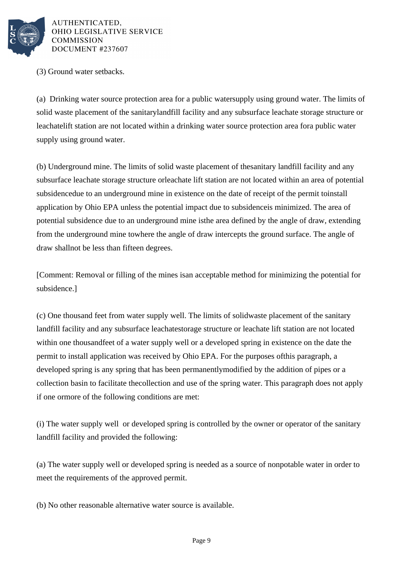

(3) Ground water setbacks.

(a) Drinking water source protection area for a public water supply using ground water. The limits of solid waste placement of the sanitary landfill facility and any subsurface leachate storage structure or leachate lift station are not located within a drinking water source protection area for a public water supply using ground water.

(b) Underground mine. The limits of solid waste placement of the sanitary landfill facility and any subsurface leachate storage structure or leachate lift station are not located within an area of potential subsidence due to an underground mine in existence on the date of receipt of the permit to install application by Ohio EPA unless the potential impact due to subsidence is minimized. The area of potential subsidence due to an underground mine is the area defined by the angle of draw, extending from the underground mine to where the angle of draw intercepts the ground surface. The angle of draw shall not be less than fifteen degrees.

[Comment: Removal or filling of the mines is an acceptable method for minimizing the potential for subsidence.]

(c) One thousand feet from water supply well. The limits of solid waste placement of the sanitary landfill facility and any subsurface leachate storage structure or leachate lift station are not located within one thousand feet of a water supply well or a developed spring in existence on the date the permit to install application was received by Ohio EPA. For the purposes of this paragraph, a developed spring is any spring that has been permanently modified by the addition of pipes or a collection basin to facilitate the collection and use of the spring water. This paragraph does not apply if one or more of the following conditions are met:

(i) The water supply well or developed spring is controlled by the owner or operator of the sanitary landfill facility and provided the following:

(a) The water supply well or developed spring is needed as a source of nonpotable water in order to meet the requirements of the approved permit.

(b) No other reasonable alternative water source is available.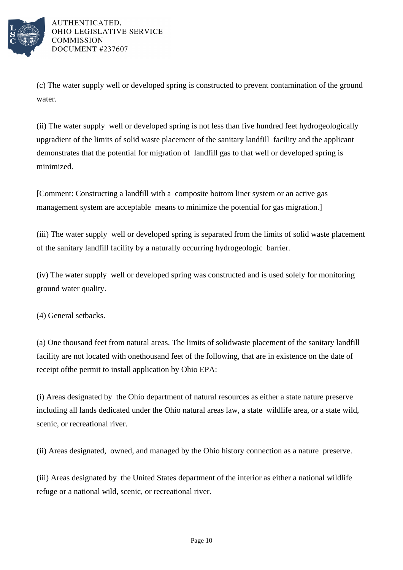

(c) The water supply well or developed spring is constructed to prevent contamination of the ground water.

(ii) The water supply well or developed spring is not less than five hundred feet hydrogeologically upgradient of the limits of solid waste placement of the sanitary landfill facility and the applicant demonstrates that the potential for migration of landfill gas to that well or developed spring is minimized.

[Comment: Constructing a landfill with a composite bottom liner system or an active gas management system are acceptable means to minimize the potential for gas migration.

(iii) The water supply well or developed spring is separated from the limits of solid waste placement of the sanitary landfill facility by a naturally occurring hydrogeologic barrier.

(iv) The water supply well or developed spring was constructed and is used solely for monitoring ground water quality.

(4) General setbacks.

(a) One thousand feet from natural areas. The limits of solid waste placement of the sanitary landfill facility are not located with one thousand feet of the following, that are in existence on the date of receipt of the permit to install application by Ohio EPA:

(i) Areas designated by the Ohio department of natural resources as either a state nature preserve including all lands dedicated under the Ohio natural areas law, a state wildlife area, or a state wild, scenic, or recreational river.

(ii) Areas designated, owned, and managed by the Ohio history connection as a nature preserve.

(iii) Areas designated by the United States department of the interior as either a national wildlife refuge or a national wild, scenic, or recreational river.